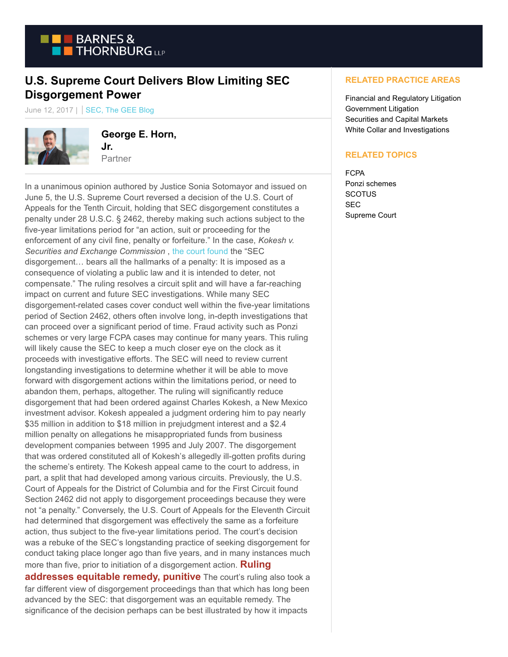

## **U.S. Supreme Court Delivers Blow Limiting SEC Disgorgement Power**

June 12, 2017 | SEC, The GEE Blog



**George E. Horn, Jr.**

Partner

In a unanimous opinion authored by Justice Sonia Sotomayor and issued on June 5, the U.S. Supreme Court reversed a decision of the U.S. Court of Appeals for the Tenth Circuit, holding that SEC disgorgement constitutes a penalty under 28 U.S.C. § 2462, thereby making such actions subject to the five-year limitations period for "an action, suit or proceeding for the enforcement of any civil fine, penalty or forfeiture." In the case, *Kokesh v. Securities and Exchange Commission* , [the court found t](https://www.supremecourt.gov/opinions/16pdf/16-529_i426.pdf)he "SEC disgorgement… bears all the hallmarks of a penalty: It is imposed as a consequence of violating a public law and it is intended to deter, not compensate." The ruling resolves a circuit split and will have a far-reaching impact on current and future SEC investigations. While many SEC disgorgement-related cases cover conduct well within the five-year limitations period of Section 2462, others often involve long, in-depth investigations that can proceed over a significant period of time. Fraud activity such as Ponzi schemes or very large FCPA cases may continue for many years. This ruling will likely cause the SEC to keep a much closer eye on the clock as it proceeds with investigative efforts. The SEC will need to review current longstanding investigations to determine whether it will be able to move forward with disgorgement actions within the limitations period, or need to abandon them, perhaps, altogether. The ruling will significantly reduce disgorgement that had been ordered against Charles Kokesh, a New Mexico investment advisor. Kokesh appealed a judgment ordering him to pay nearly \$35 million in addition to \$18 million in prejudgment interest and a \$2.4 million penalty on allegations he misappropriated funds from business development companies between 1995 and July 2007. The disgorgement that was ordered constituted all of Kokesh's allegedly ill-gotten profits during the scheme's entirety. The Kokesh appeal came to the court to address, in part, a split that had developed among various circuits. Previously, the U.S. Court of Appeals for the District of Columbia and for the First Circuit found Section 2462 did not apply to disgorgement proceedings because they were not "a penalty." Conversely, the U.S. Court of Appeals for the Eleventh Circuit had determined that disgorgement was effectively the same as a forfeiture action, thus subject to the five-year limitations period. The court's decision was a rebuke of the SEC's longstanding practice of seeking disgorgement for conduct taking place longer ago than five years, and in many instances much more than five, prior to initiation of a disgorgement action. **Ruling addresses equitable remedy, punitive** The court's ruling also took a far different view of disgorgement proceedings than that which has long been advanced by the SEC: that disgorgement was an equitable remedy. The significance of the decision perhaps can be best illustrated by how it impacts

## **RELATED PRACTICE AREAS**

Financial and Regulatory Litigation Government Litigation Securities and Capital Markets White Collar and Investigations

## **RELATED TOPICS**

FCPA Ponzi schemes **SCOTUS SEC** Supreme Court